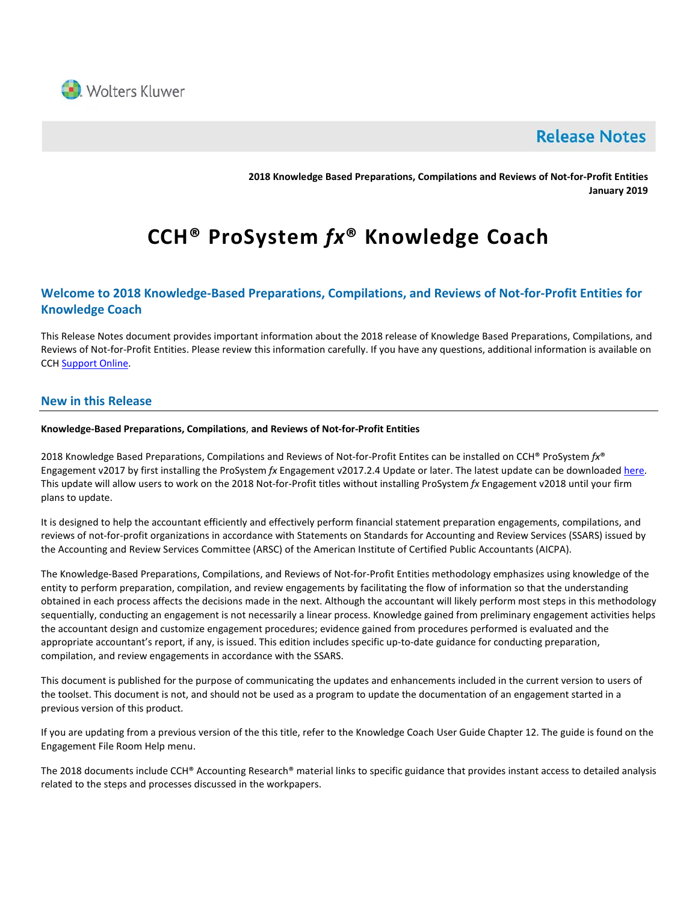

## **Release Notes**

**2018 Knowledge Based Preparations, Compilations and Reviews of Not-for-Profit Entities January 2019**

# **CCH® ProSystem** *fx***® Knowledge Coach**

## **Welcome to 2018 Knowledge-Based Preparations, Compilations, and Reviews of Not-for-Profit Entities for Knowledge Coach**

This Release Notes document provides important information about the 2018 release of Knowledge Based Preparations, Compilations, and Reviews of Not-for-Profit Entities. Please review this information carefully. If you have any questions, additional information is available on CC[H Support Online.](http://support.cch.com/productsupport/)

## **New in this Release**

#### **Knowledge-Based Preparations, Compilations**, **and Reviews of Not-for-Profit Entities**

2018 Knowledge Based Preparations, Compilations and Reviews of Not-for-Profit Entites can be installed on CCH® ProSystem *fx*® Engagement v2017 by first installing the ProSystem *fx* Engagement v2017.2.4 Update or later. The latest update can be downloade[d here.](https://support.cch.com/updates/Engagement/release2017/release2017.aspx) This update will allow users to work on the 2018 Not-for-Profit titles without installing ProSystem *fx* Engagement v2018 until your firm plans to update.

It is designed to help the accountant efficiently and effectively perform financial statement preparation engagements, compilations, and reviews of not-for-profit organizations in accordance with Statements on Standards for Accounting and Review Services (SSARS) issued by the Accounting and Review Services Committee (ARSC) of the American Institute of Certified Public Accountants (AICPA).

The Knowledge-Based Preparations, Compilations, and Reviews of Not-for-Profit Entities methodology emphasizes using knowledge of the entity to perform preparation, compilation, and review engagements by facilitating the flow of information so that the understanding obtained in each process affects the decisions made in the next. Although the accountant will likely perform most steps in this methodology sequentially, conducting an engagement is not necessarily a linear process. Knowledge gained from preliminary engagement activities helps the accountant design and customize engagement procedures; evidence gained from procedures performed is evaluated and the appropriate accountant's report, if any, is issued. This edition includes specific up-to-date guidance for conducting preparation, compilation, and review engagements in accordance with the SSARS.

This document is published for the purpose of communicating the updates and enhancements included in the current version to users of the toolset. This document is not, and should not be used as a program to update the documentation of an engagement started in a previous version of this product.

If you are updating from a previous version of the this title, refer to the Knowledge Coach User Guide Chapter 12. The guide is found on the Engagement File Room Help menu.

The 2018 documents include CCH® Accounting Research® material links to specific guidance that provides instant access to detailed analysis related to the steps and processes discussed in the workpapers.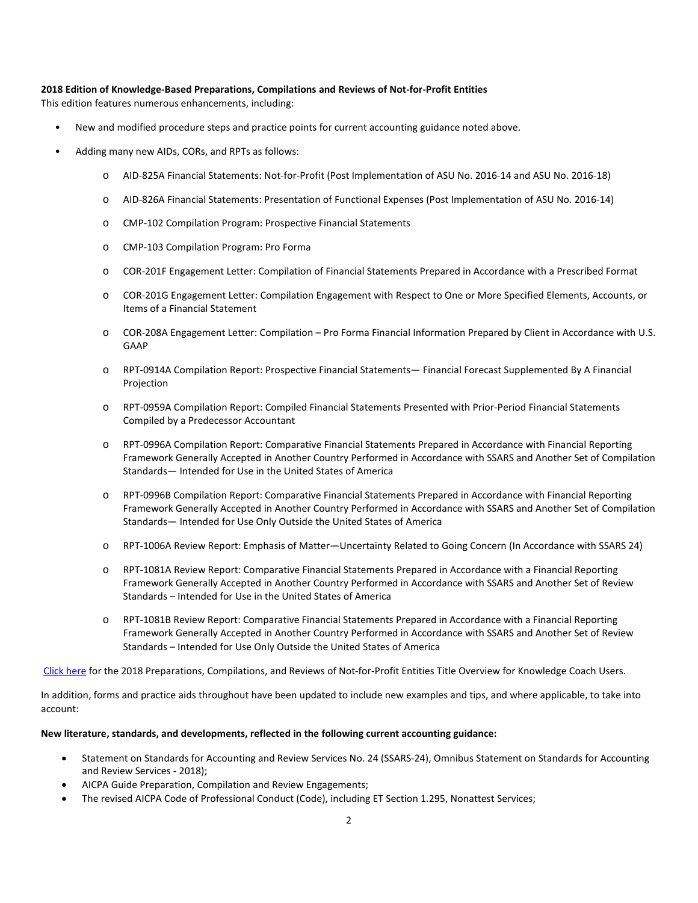#### **2018 Edition of Knowledge-Based Preparations, Compilations and Reviews of Not-for-Profit Entities**

This edition features numerous enhancements, including:

- New and modified procedure steps and practice points for current accounting guidance noted above.
- Adding many new AIDs, CORs, and RPTs as follows:
	- o AID-825A Financial Statements: Not-for-Profit (Post Implementation of ASU No. 2016-14 and ASU No. 2016-18)
	- o AID-826A Financial Statements: Presentation of Functional Expenses (Post Implementation of ASU No. 2016-14)
	- o CMP-102 Compilation Program: Prospective Financial Statements
	- o CMP-103 Compilation Program: Pro Forma
	- o COR-201F Engagement Letter: Compilation of Financial Statements Prepared in Accordance with a Prescribed Format
	- o COR-201G Engagement Letter: Compilation Engagement with Respect to One or More Specified Elements, Accounts, or Items of a Financial Statement
	- o COR-208A Engagement Letter: Compilation Pro Forma Financial Information Prepared by Client in Accordance with U.S. GAAP
	- o RPT-0914A Compilation Report: Prospective Financial Statements— Financial Forecast Supplemented By A Financial Projection
	- o RPT-0959A Compilation Report: Compiled Financial Statements Presented with Prior-Period Financial Statements Compiled by a Predecessor Accountant
	- o RPT-0996A Compilation Report: Comparative Financial Statements Prepared in Accordance with Financial Reporting Framework Generally Accepted in Another Country Performed in Accordance with SSARS and Another Set of Compilation Standards— Intended for Use in the United States of America
	- o RPT-0996B Compilation Report: Comparative Financial Statements Prepared in Accordance with Financial Reporting Framework Generally Accepted in Another Country Performed in Accordance with SSARS and Another Set of Compilation Standards— Intended for Use Only Outside the United States of America
	- o RPT-1006A Review Report: Emphasis of Matter—Uncertainty Related to Going Concern (In Accordance with SSARS 24)
	- o RPT-1081A Review Report: Comparative Financial Statements Prepared in Accordance with a Financial Reporting Framework Generally Accepted in Another Country Performed in Accordance with SSARS and Another Set of Review Standards – Intended for Use in the United States of America
	- o RPT-1081B Review Report: Comparative Financial Statements Prepared in Accordance with a Financial Reporting Framework Generally Accepted in Another Country Performed in Accordance with SSARS and Another Set of Review Standards – Intended for Use Only Outside the United States of America

[Click here](http://support.cch.com/updates/KnowledgeCoach/pdf/guides_tab/2018%20Not-For-Profit%20Entities%20PCR%20Title%20Overview%20for%20Knowledge%20Coach%20Users.pdf) for the 2018 Preparations, Compilations, and Reviews of Not-for-Profit Entities Title Overview for Knowledge Coach Users.

In addition, forms and practice aids throughout have been updated to include new examples and tips, and where applicable, to take into account:

#### **New literature, standards, and developments, reflected in the following current accounting guidance:**

- Statement on Standards for Accounting and Review Services No. 24 (SSARS-24), Omnibus Statement on Standards for Accounting and Review Services - 2018);
- AICPA Guide Preparation, Compilation and Review Engagements;
- The revised AICPA Code of Professional Conduct (Code), including ET Section 1.295, Nonattest Services;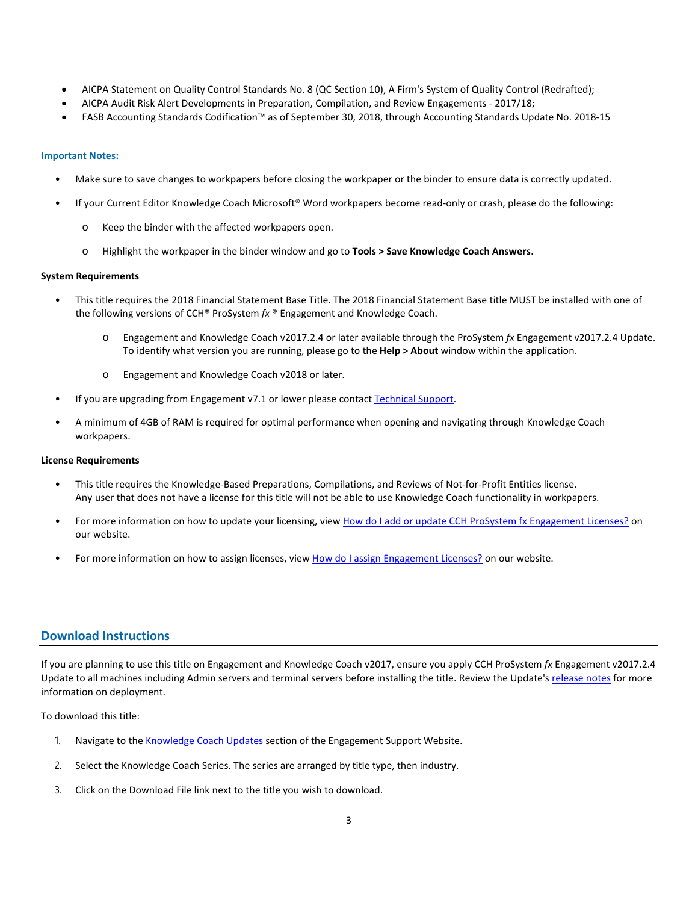- AICPA Statement on Quality Control Standards No. 8 (QC Section 10), A Firm's System of Quality Control (Redrafted);
- AICPA Audit Risk Alert Developments in Preparation, Compilation, and Review Engagements 2017/18;
- FASB Accounting Standards Codification™ as of September 30, 2018, through Accounting Standards Update No. 2018-15

#### **Important Notes:**

- Make sure to save changes to workpapers before closing the workpaper or the binder to ensure data is correctly updated.
- If your Current Editor Knowledge Coach Microsoft® Word workpapers become read-only or crash, please do the following:
	- o Keep the binder with the affected workpapers open.
	- o Highlight the workpaper in the binder window and go to **Tools > Save Knowledge Coach Answers**.

#### **System Requirements**

- This title requires the 2018 Financial Statement Base Title. The 2018 Financial Statement Base title MUST be installed with one of the following versions of CCH® ProSystem *fx* ® Engagement and Knowledge Coach.
	- o Engagement and Knowledge Coach v2017.2.4 or later available through the ProSystem *fx* Engagement v2017.2.4 Update. To identify what version you are running, please go to the **Help > About** window within the application.
	- o Engagement and Knowledge Coach v2018 or later.
- If you are upgrading from Engagement v7.1 or lower please contac[t Technical Support.](https://support.cch.com/contact)
- A minimum of 4GB of RAM is required for optimal performance when opening and navigating through Knowledge Coach workpapers.

#### **License Requirements**

- This title requires the Knowledge-Based Preparations, Compilations, and Reviews of Not-for-Profit Entities license. Any user that does not have a license for this title will not be able to use Knowledge Coach functionality in workpapers.
- For more information on how to update your licensing, view [How do I add or update CCH ProSystem fx Engagement Licenses?](https://support.cch.com/kb/solution.aspx/sw3937) on our website.
- For more information on how to assign licenses, view [How do I assign Engagement Licenses?](https://support.cch.com/kb/solution.aspx/sw3943) on our website.

#### **Download Instructions**

If you are planning to use this title on Engagement and Knowledge Coach v2017, ensure you apply CCH ProSystem *fx* Engagement v2017.2.4 Update to all machines including Admin servers and terminal servers before installing the title. Review the Update'[s release notes](https://d2iceilwdglxpz.cloudfront.net/release_notes/CCH%20ProSystem%20fx%20Engagement%20Release%20Notes%202017.2.4.pdf) for more information on deployment.

To download this title:

- 1. Navigate to the [Knowledge Coach Updates](http://support.cch.com/updates/KnowledgeCoach) section of the Engagement Support Website.
- 2. Select the Knowledge Coach Series. The series are arranged by title type, then industry.
- 3. Click on the Download File link next to the title you wish to download.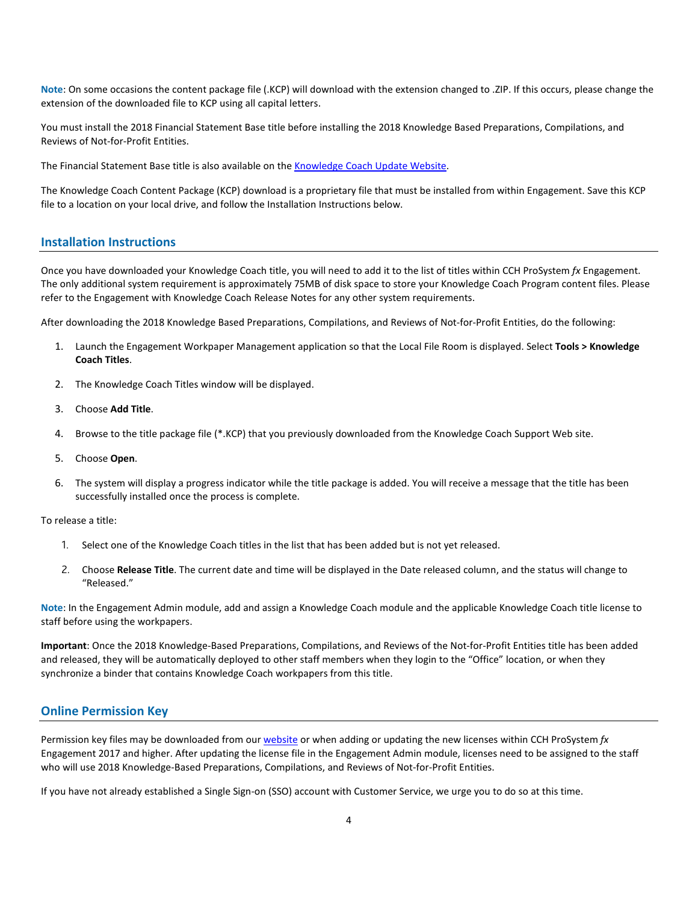**Note**: On some occasions the content package file (.KCP) will download with the extension changed to .ZIP. If this occurs, please change the extension of the downloaded file to KCP using all capital letters.

You must install the 2018 Financial Statement Base title before installing the 2018 Knowledge Based Preparations, Compilations, and Reviews of Not-for-Profit Entities.

The Financial Statement Base title is also available on th[e Knowledge Coach Update Website.](http://support.cch.com/updates/KnowledgeCoach)

The Knowledge Coach Content Package (KCP) download is a proprietary file that must be installed from within Engagement. Save this KCP file to a location on your local drive, and follow the Installation Instructions below.

#### **Installation Instructions**

Once you have downloaded your Knowledge Coach title, you will need to add it to the list of titles within CCH ProSystem *fx* Engagement. The only additional system requirement is approximately 75MB of disk space to store your Knowledge Coach Program content files. Please refer to the Engagement with Knowledge Coach Release Notes for any other system requirements.

After downloading the 2018 Knowledge Based Preparations, Compilations, and Reviews of Not-for-Profit Entities, do the following:

- 1. Launch the Engagement Workpaper Management application so that the Local File Room is displayed. Select **Tools > Knowledge Coach Titles**.
- 2. The Knowledge Coach Titles window will be displayed.
- 3. Choose **Add Title**.
- 4. Browse to the title package file (\*.KCP) that you previously downloaded from the Knowledge Coach Support Web site.
- 5. Choose **Open**.
- 6. The system will display a progress indicator while the title package is added. You will receive a message that the title has been successfully installed once the process is complete.

To release a title:

- 1. Select one of the Knowledge Coach titles in the list that has been added but is not yet released.
- 2. Choose **Release Title**. The current date and time will be displayed in the Date released column, and the status will change to "Released."

**Note**: In the Engagement Admin module, add and assign a Knowledge Coach module and the applicable Knowledge Coach title license to staff before using the workpapers.

**Important**: Once the 2018 Knowledge-Based Preparations, Compilations, and Reviews of the Not-for-Profit Entities title has been added and released, they will be automatically deployed to other staff members when they login to the "Office" location, or when they synchronize a binder that contains Knowledge Coach workpapers from this title.

#### **Online Permission Key**

Permission key files may be downloaded from ou[r website](https://prosystemfxsupport.tax.cchgroup.com/permkey/download.aspx) or when adding or updating the new licenses within CCH ProSystem *fx* Engagement 2017 and higher. After updating the license file in the Engagement Admin module, licenses need to be assigned to the staff who will use 2018 Knowledge-Based Preparations, Compilations, and Reviews of Not-for-Profit Entities.

If you have not already established a Single Sign-on (SSO) account with Customer Service, we urge you to do so at this time.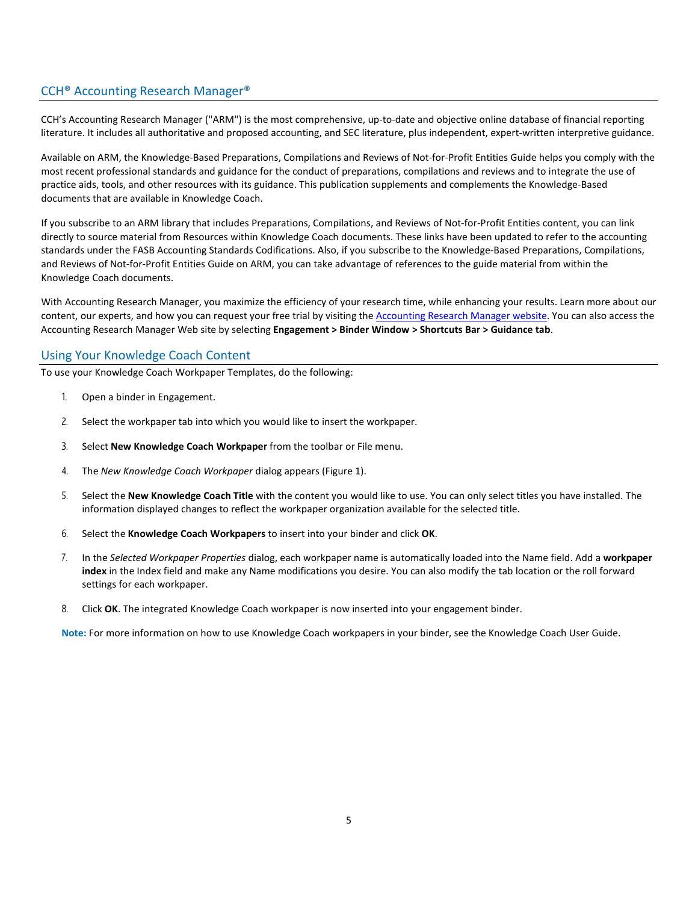## CCH® Accounting Research Manager®

CCH's Accounting Research Manager ("ARM") is the most comprehensive, up-to-date and objective online database of financial reporting literature. It includes all authoritative and proposed accounting, and SEC literature, plus independent, expert-written interpretive guidance.

Available on ARM, the Knowledge-Based Preparations, Compilations and Reviews of Not-for-Profit Entities Guide helps you comply with the most recent professional standards and guidance for the conduct of preparations, compilations and reviews and to integrate the use of practice aids, tools, and other resources with its guidance. This publication supplements and complements the Knowledge-Based documents that are available in Knowledge Coach.

If you subscribe to an ARM library that includes Preparations, Compilations, and Reviews of Not-for-Profit Entities content, you can link directly to source material from Resources within Knowledge Coach documents. These links have been updated to refer to the accounting standards under the FASB Accounting Standards Codifications. Also, if you subscribe to the Knowledge-Based Preparations, Compilations, and Reviews of Not-for-Profit Entities Guide on ARM, you can take advantage of references to the guide material from within the Knowledge Coach documents.

With Accounting Research Manager, you maximize the efficiency of your research time, while enhancing your results. Learn more about our content, our experts, and how you can request your free trial by visiting the [Accounting Research Manager website.](http://www.accountingresearchmanager.com/) You can also access the Accounting Research Manager Web site by selecting **Engagement > Binder Window > Shortcuts Bar > Guidance tab**.

#### Using Your Knowledge Coach Content

To use your Knowledge Coach Workpaper Templates, do the following:

- 1. Open a binder in Engagement.
- 2. Select the workpaper tab into which you would like to insert the workpaper.
- 3. Select **New Knowledge Coach Workpaper** from the toolbar or File menu.
- 4. The *New Knowledge Coach Workpaper* dialog appears (Figure 1).
- 5. Select the **New Knowledge Coach Title** with the content you would like to use. You can only select titles you have installed. The information displayed changes to reflect the workpaper organization available for the selected title.
- 6. Select the **Knowledge Coach Workpapers** to insert into your binder and click **OK**.
- 7. In the *Selected Workpaper Properties* dialog, each workpaper name is automatically loaded into the Name field. Add a **workpaper index** in the Index field and make any Name modifications you desire. You can also modify the tab location or the roll forward settings for each workpaper.
- 8. Click **OK**. The integrated Knowledge Coach workpaper is now inserted into your engagement binder.

**Note:** For more information on how to use Knowledge Coach workpapers in your binder, see the Knowledge Coach User Guide.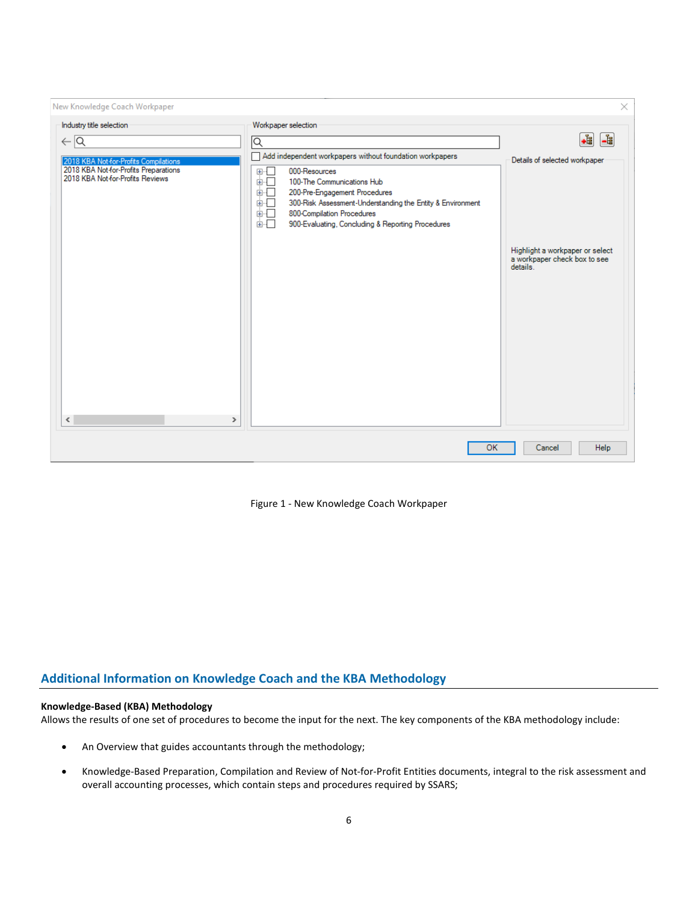| New Knowledge Coach Workpaper                                                                                                                                                     |                                                                                                                                                                                                                                                                                                                                                                  | ×                                                                                              |
|-----------------------------------------------------------------------------------------------------------------------------------------------------------------------------------|------------------------------------------------------------------------------------------------------------------------------------------------------------------------------------------------------------------------------------------------------------------------------------------------------------------------------------------------------------------|------------------------------------------------------------------------------------------------|
| Industry title selection<br>$\leftarrow \boxed{\mathsf{Q}}$<br>2018 KBA Not-for-Profits Compilations<br>2018 KBA Not-for-Profits Preparations<br>2018 KBA Not-for-Profits Reviews | Workpaper selection<br>IQ<br>Add independent workpapers without foundation workpapers<br>000-Resources<br>П<br>里·<br>Ė-O<br>100-The Communications Hub<br>面口<br>200-Pre-Engagement Procedures<br>画口<br>300-Risk Assessment-Understanding the Entity & Environment<br>面一<br>800-Compilation Procedures<br>面示<br>900-Evaluating, Concluding & Reporting Procedures | .i<br>$\frac{1}{\sqrt{2}}$<br>Details of selected workpaper<br>Highlight a workpaper or select |
| $\checkmark$<br>⋗                                                                                                                                                                 |                                                                                                                                                                                                                                                                                                                                                                  | a workpaper check box to see<br>details.                                                       |
|                                                                                                                                                                                   | OK                                                                                                                                                                                                                                                                                                                                                               | Help<br>Cancel                                                                                 |

Figure 1 - New Knowledge Coach Workpaper

## **Additional Information on Knowledge Coach and the KBA Methodology**

### **Knowledge-Based (KBA) Methodology**

Allows the results of one set of procedures to become the input for the next. The key components of the KBA methodology include:

- An Overview that guides accountants through the methodology;
- Knowledge-Based Preparation, Compilation and Review of Not-for-Profit Entities documents, integral to the risk assessment and overall accounting processes, which contain steps and procedures required by SSARS;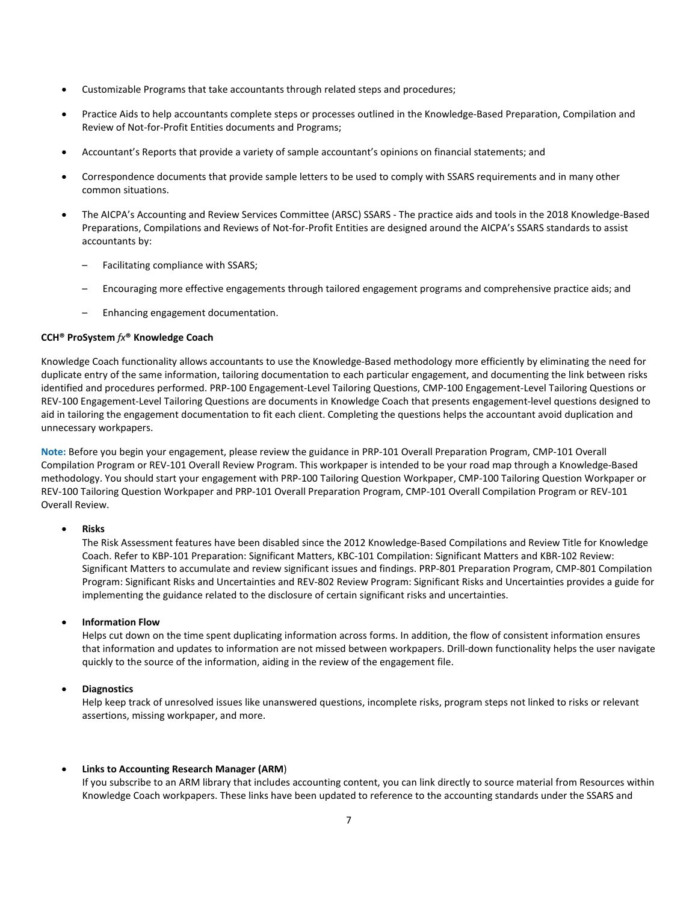- Customizable Programs that take accountants through related steps and procedures;
- Practice Aids to help accountants complete steps or processes outlined in the Knowledge-Based Preparation, Compilation and Review of Not-for-Profit Entities documents and Programs;
- Accountant's Reports that provide a variety of sample accountant's opinions on financial statements; and
- Correspondence documents that provide sample letters to be used to comply with SSARS requirements and in many other common situations.
- The AICPA's Accounting and Review Services Committee (ARSC) SSARS The practice aids and tools in the 2018 Knowledge-Based Preparations, Compilations and Reviews of Not-for-Profit Entities are designed around the AICPA's SSARS standards to assist accountants by:
	- Facilitating compliance with SSARS;
	- Encouraging more effective engagements through tailored engagement programs and comprehensive practice aids; and
	- Enhancing engagement documentation.

#### **CCH® ProSystem** *fx***® Knowledge Coach**

Knowledge Coach functionality allows accountants to use the Knowledge-Based methodology more efficiently by eliminating the need for duplicate entry of the same information, tailoring documentation to each particular engagement, and documenting the link between risks identified and procedures performed. PRP-100 Engagement-Level Tailoring Questions, CMP-100 Engagement-Level Tailoring Questions or REV-100 Engagement-Level Tailoring Questions are documents in Knowledge Coach that presents engagement-level questions designed to aid in tailoring the engagement documentation to fit each client. Completing the questions helps the accountant avoid duplication and unnecessary workpapers.

**Note:** Before you begin your engagement, please review the guidance in PRP-101 Overall Preparation Program, CMP-101 Overall Compilation Program or REV-101 Overall Review Program. This workpaper is intended to be your road map through a Knowledge-Based methodology. You should start your engagement with PRP-100 Tailoring Question Workpaper, CMP-100 Tailoring Question Workpaper or REV-100 Tailoring Question Workpaper and PRP-101 Overall Preparation Program, CMP-101 Overall Compilation Program or REV-101 Overall Review.

#### • **Risks**

The Risk Assessment features have been disabled since the 2012 Knowledge-Based Compilations and Review Title for Knowledge Coach. Refer to KBP-101 Preparation: Significant Matters, KBC-101 Compilation: Significant Matters and KBR-102 Review: Significant Matters to accumulate and review significant issues and findings. PRP-801 Preparation Program, CMP-801 Compilation Program: Significant Risks and Uncertainties and REV-802 Review Program: Significant Risks and Uncertainties provides a guide for implementing the guidance related to the disclosure of certain significant risks and uncertainties.

#### • **Information Flow**

Helps cut down on the time spent duplicating information across forms. In addition, the flow of consistent information ensures that information and updates to information are not missed between workpapers. Drill-down functionality helps the user navigate quickly to the source of the information, aiding in the review of the engagement file.

#### • **Diagnostics**

Help keep track of unresolved issues like unanswered questions, incomplete risks, program steps not linked to risks or relevant assertions, missing workpaper, and more.

#### • **Links to Accounting Research Manager (ARM**)

If you subscribe to an ARM library that includes accounting content, you can link directly to source material from Resources within Knowledge Coach workpapers. These links have been updated to reference to the accounting standards under the SSARS and